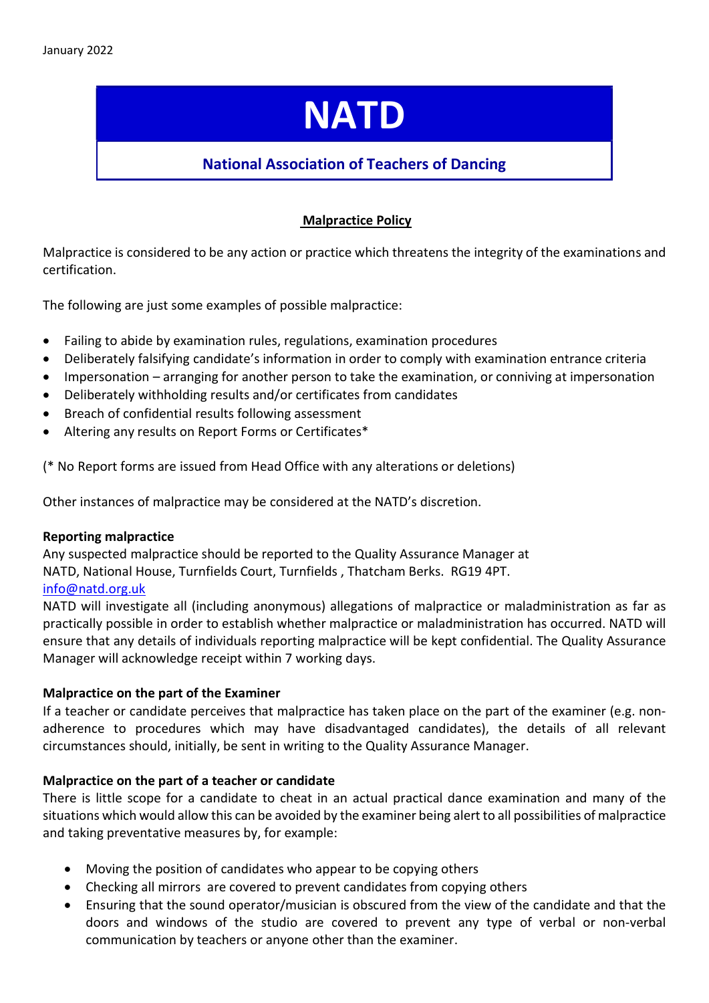# **NATD**

## National Association of Teachers of Dancing

## Malpractice Policy

Malpractice is considered to be any action or practice which threatens the integrity of the examinations and certification.

The following are just some examples of possible malpractice:

- Failing to abide by examination rules, regulations, examination procedures
- Deliberately falsifying candidate's information in order to comply with examination entrance criteria
- Impersonation arranging for another person to take the examination, or conniving at impersonation
- Deliberately withholding results and/or certificates from candidates
- Breach of confidential results following assessment
- Altering any results on Report Forms or Certificates\*

(\* No Report forms are issued from Head Office with any alterations or deletions)

Other instances of malpractice may be considered at the NATD's discretion.

#### Reporting malpractice

Any suspected malpractice should be reported to the Quality Assurance Manager at NATD, National House, Turnfields Court, Turnfields , Thatcham Berks. RG19 4PT. info@natd.org.uk

NATD will investigate all (including anonymous) allegations of malpractice or maladministration as far as practically possible in order to establish whether malpractice or maladministration has occurred. NATD will ensure that any details of individuals reporting malpractice will be kept confidential. The Quality Assurance Manager will acknowledge receipt within 7 working days.

#### Malpractice on the part of the Examiner

If a teacher or candidate perceives that malpractice has taken place on the part of the examiner (e.g. nonadherence to procedures which may have disadvantaged candidates), the details of all relevant circumstances should, initially, be sent in writing to the Quality Assurance Manager.

#### Malpractice on the part of a teacher or candidate

There is little scope for a candidate to cheat in an actual practical dance examination and many of the situations which would allow this can be avoided by the examiner being alert to all possibilities of malpractice and taking preventative measures by, for example:

- Moving the position of candidates who appear to be copying others
- Checking all mirrors are covered to prevent candidates from copying others
- Ensuring that the sound operator/musician is obscured from the view of the candidate and that the doors and windows of the studio are covered to prevent any type of verbal or non-verbal communication by teachers or anyone other than the examiner.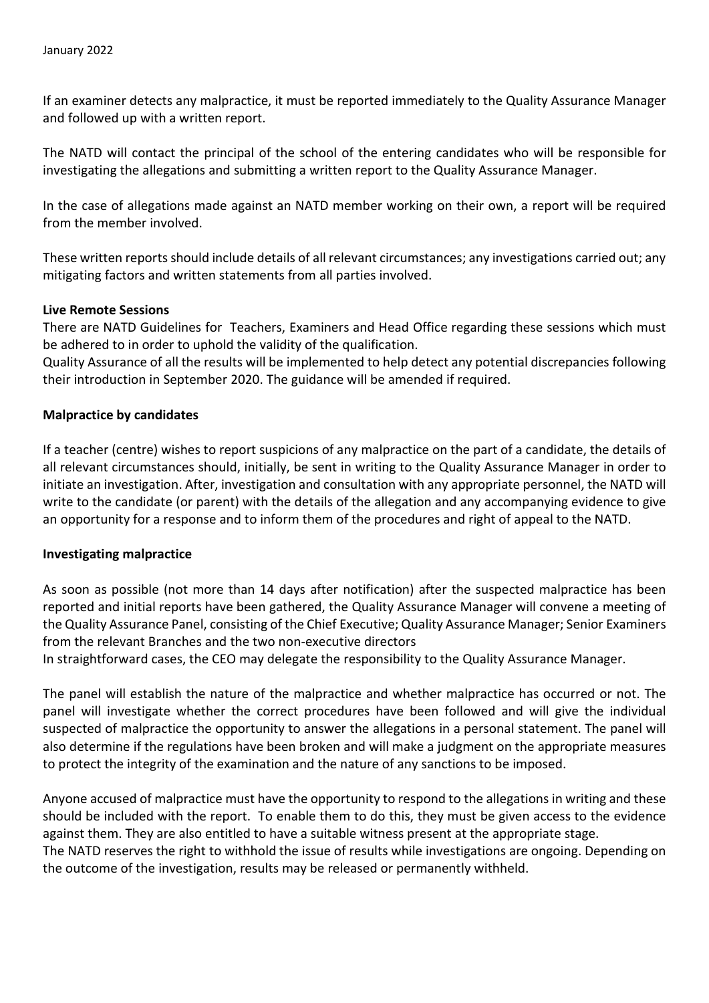If an examiner detects any malpractice, it must be reported immediately to the Quality Assurance Manager and followed up with a written report.

The NATD will contact the principal of the school of the entering candidates who will be responsible for investigating the allegations and submitting a written report to the Quality Assurance Manager.

In the case of allegations made against an NATD member working on their own, a report will be required from the member involved.

These written reports should include details of all relevant circumstances; any investigations carried out; any mitigating factors and written statements from all parties involved.

#### Live Remote Sessions

There are NATD Guidelines for Teachers, Examiners and Head Office regarding these sessions which must be adhered to in order to uphold the validity of the qualification.

Quality Assurance of all the results will be implemented to help detect any potential discrepancies following their introduction in September 2020. The guidance will be amended if required.

#### Malpractice by candidates

If a teacher (centre) wishes to report suspicions of any malpractice on the part of a candidate, the details of all relevant circumstances should, initially, be sent in writing to the Quality Assurance Manager in order to initiate an investigation. After, investigation and consultation with any appropriate personnel, the NATD will write to the candidate (or parent) with the details of the allegation and any accompanying evidence to give an opportunity for a response and to inform them of the procedures and right of appeal to the NATD.

#### Investigating malpractice

As soon as possible (not more than 14 days after notification) after the suspected malpractice has been reported and initial reports have been gathered, the Quality Assurance Manager will convene a meeting of the Quality Assurance Panel, consisting of the Chief Executive; Quality Assurance Manager; Senior Examiners from the relevant Branches and the two non-executive directors

In straightforward cases, the CEO may delegate the responsibility to the Quality Assurance Manager.

The panel will establish the nature of the malpractice and whether malpractice has occurred or not. The panel will investigate whether the correct procedures have been followed and will give the individual suspected of malpractice the opportunity to answer the allegations in a personal statement. The panel will also determine if the regulations have been broken and will make a judgment on the appropriate measures to protect the integrity of the examination and the nature of any sanctions to be imposed.

Anyone accused of malpractice must have the opportunity to respond to the allegations in writing and these should be included with the report. To enable them to do this, they must be given access to the evidence against them. They are also entitled to have a suitable witness present at the appropriate stage. The NATD reserves the right to withhold the issue of results while investigations are ongoing. Depending on

the outcome of the investigation, results may be released or permanently withheld.